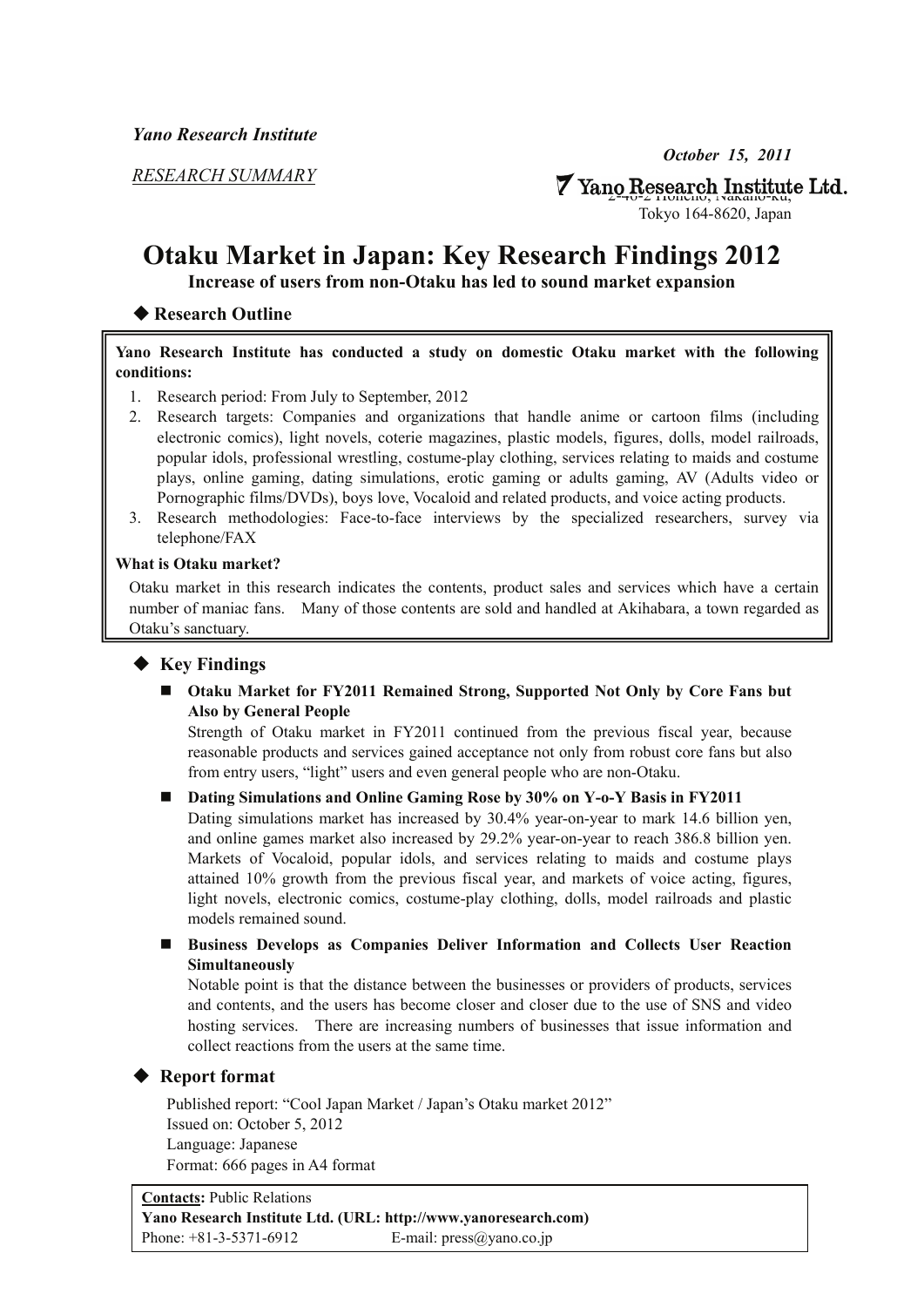*RESEARCH SUMMARY*

 $\triangledown$  Yano Research Institute Ltd.

Tokyo 164-8620, Japan

# **Otaku Market in Japan: Key Research Findings 2012**

**Increase of users from non-Otaku has led to sound market expansion** 

# ◆ **Research Outline**

#### **Yano Research Institute has conducted a study on domestic Otaku market with the following conditions:**

- 1. Research period: From July to September, 2012
- 2. Research targets: Companies and organizations that handle anime or cartoon films (including electronic comics), light novels, coterie magazines, plastic models, figures, dolls, model railroads, popular idols, professional wrestling, costume-play clothing, services relating to maids and costume plays, online gaming, dating simulations, erotic gaming or adults gaming, AV (Adults video or Pornographic films/DVDs), boys love, Vocaloid and related products, and voice acting products.
- 3. Research methodologies: Face-to-face interviews by the specialized researchers, survey via telephone/FAX

#### **What is Otaku market?**

Otaku market in this research indicates the contents, product sales and services which have a certain number of maniac fans. Many of those contents are sold and handled at Akihabara, a town regarded as Otaku's sanctuary.

### ◆ **Key Findings**

 **Otaku Market for FY2011 Remained Strong, Supported Not Only by Core Fans but Also by General People** 

Strength of Otaku market in FY2011 continued from the previous fiscal year, because reasonable products and services gained acceptance not only from robust core fans but also from entry users, "light" users and even general people who are non-Otaku.

### **Dating Simulations and Online Gaming Rose by 30% on Y-o-Y Basis in FY2011**

Dating simulations market has increased by 30.4% year-on-year to mark 14.6 billion yen, and online games market also increased by 29.2% year-on-year to reach 386.8 billion yen. Markets of Vocaloid, popular idols, and services relating to maids and costume plays attained 10% growth from the previous fiscal year, and markets of voice acting, figures, light novels, electronic comics, costume-play clothing, dolls, model railroads and plastic models remained sound.

### **Business Develops as Companies Deliver Information and Collects User Reaction Simultaneously**

Notable point is that the distance between the businesses or providers of products, services and contents, and the users has become closer and closer due to the use of SNS and video hosting services. There are increasing numbers of businesses that issue information and collect reactions from the users at the same time.

# ◆ **Report format**

Published report: "Cool Japan Market / Japan's Otaku market 2012" Issued on: October 5, 2012 Language: Japanese Format: 666 pages in A4 format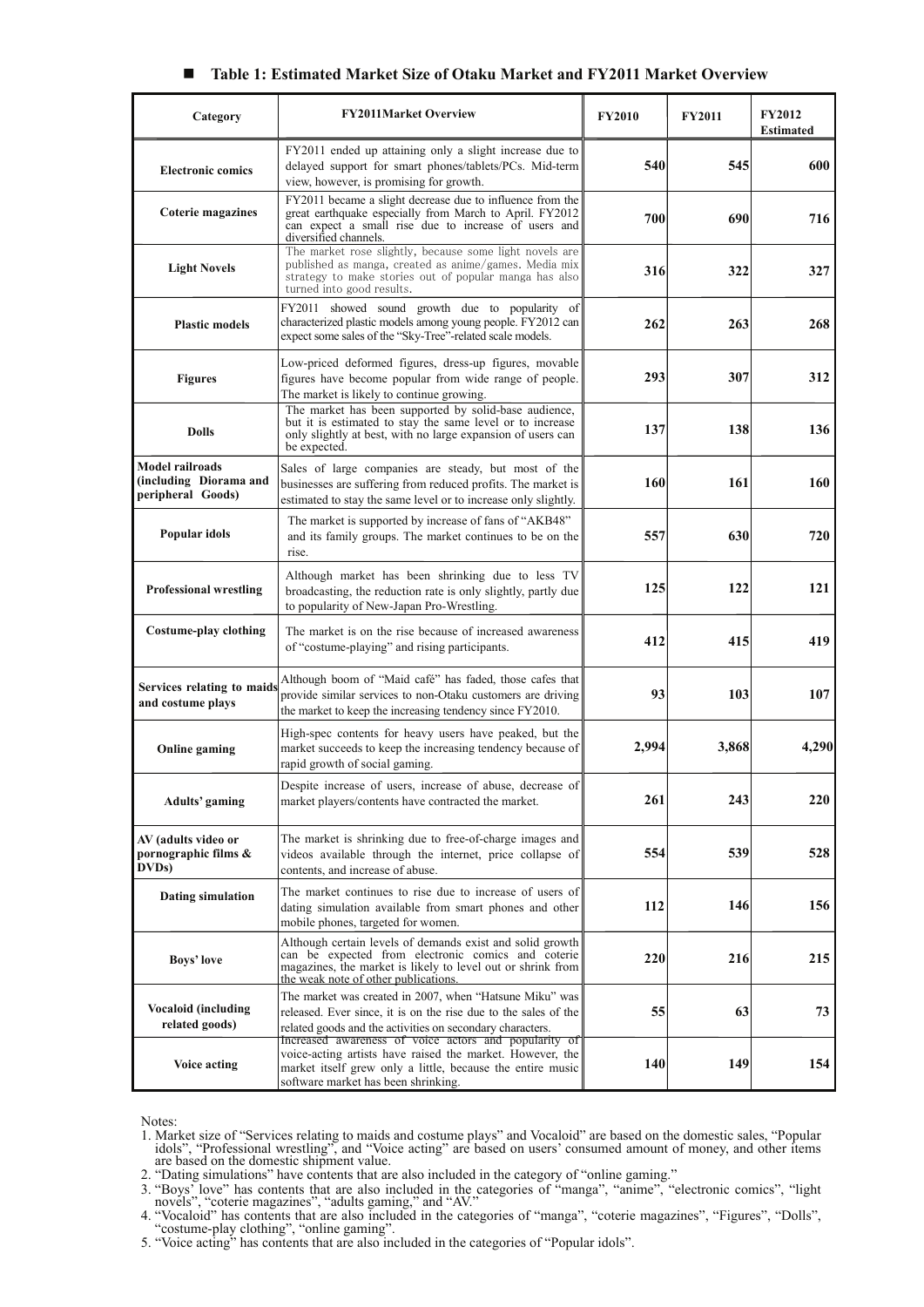#### **Table 1: Estimated Market Size of Otaku Market and FY2011 Market Overview**

| Category                                                       | <b>FY2011Market Overview</b>                                                                                                                                                                                            | <b>FY2010</b> | <b>FY2011</b> | <b>FY2012</b><br><b>Estimated</b> |
|----------------------------------------------------------------|-------------------------------------------------------------------------------------------------------------------------------------------------------------------------------------------------------------------------|---------------|---------------|-----------------------------------|
| <b>Electronic comics</b>                                       | FY2011 ended up attaining only a slight increase due to<br>delayed support for smart phones/tablets/PCs. Mid-term<br>view, however, is promising for growth.                                                            | 540           | 545           | 600                               |
| <b>Coterie magazines</b>                                       | FY2011 became a slight decrease due to influence from the<br>great earthquake especially from March to April. FY2012<br>can expect a small rise due to increase of users and<br>diversified channels.                   | 700           | 690           | 716                               |
| <b>Light Novels</b>                                            | The market rose slightly, because some light novels are<br>published as manga, created as anime/games. Media mix<br>strategy to make stories out of popular manga has also<br>turned into good results.                 | 316           | 322           | 327                               |
| <b>Plastic models</b>                                          | FY2011 showed sound growth due to popularity of<br>characterized plastic models among young people. FY2012 can<br>expect some sales of the "Sky-Tree"-related scale models.                                             | 262           | 263           | 268                               |
| <b>Figures</b>                                                 | Low-priced deformed figures, dress-up figures, movable<br>figures have become popular from wide range of people.<br>The market is likely to continue growing.                                                           | 293           | 307           | 312                               |
| <b>Dolls</b>                                                   | The market has been supported by solid-base audience,<br>but it is estimated to stay the same level or to increase<br>only slightly at best, with no large expansion of users can<br>be expected.                       | 137           | 138           | 136                               |
| Model railroads<br>(including Diorama and<br>peripheral Goods) | Sales of large companies are steady, but most of the<br>businesses are suffering from reduced profits. The market is<br>estimated to stay the same level or to increase only slightly.                                  | 160           | 161           | 160                               |
| Popular idols                                                  | The market is supported by increase of fans of "AKB48"<br>and its family groups. The market continues to be on the<br>rise.                                                                                             | 557           | 630           | 720                               |
| <b>Professional wrestling</b>                                  | Although market has been shrinking due to less TV<br>broadcasting, the reduction rate is only slightly, partly due<br>to popularity of New-Japan Pro-Wrestling.                                                         | 125           | 122           | 121                               |
| Costume-play clothing                                          | The market is on the rise because of increased awareness<br>of "costume-playing" and rising participants.                                                                                                               | 412           | 415           | 419                               |
| Services relating to maids<br>and costume plays                | Although boom of "Maid café" has faded, those cafes that<br>provide similar services to non-Otaku customers are driving<br>the market to keep the increasing tendency since FY2010.                                     | 93            | 103           | 107                               |
| <b>Online gaming</b>                                           | High-spec contents for heavy users have peaked, but the<br>market succeeds to keep the increasing tendency because of<br>rapid growth of social gaming.                                                                 | 2,994         | 3,868         | 4,290                             |
| <b>Adults'</b> gaming                                          | Despite increase of users, increase of abuse, decrease of<br>market players/contents have contracted the market.                                                                                                        | 261           | 243           | 220                               |
| AV (adults video or<br>pornographic films &<br>DVDs            | The market is shrinking due to free-of-charge images and<br>videos available through the internet, price collapse of<br>contents, and increase of abuse.                                                                | 554           | 539           | 528                               |
| Dating simulation                                              | The market continues to rise due to increase of users of<br>dating simulation available from smart phones and other<br>mobile phones, targeted for women.                                                               | 112           | 146           | 156                               |
| <b>Boys' love</b>                                              | Although certain levels of demands exist and solid growth<br>can be expected from electronic comics and coterie<br>magazines, the market is likely to level out or shrink from<br>the weak note of other publications.  | 220           | 216           | 215                               |
| <b>Vocaloid (including</b><br>related goods)                   | The market was created in 2007, when "Hatsune Miku" was<br>released. Ever since, it is on the rise due to the sales of the<br>related goods and the activities on secondary characters.                                 | 55            | 63            | 73                                |
| <b>Voice acting</b>                                            | Increased awareness of voice actors and popularity of<br>voice-acting artists have raised the market. However, the<br>market itself grew only a little, because the entire music<br>software market has been shrinking. | 140           | 149           | 154                               |

Notes:

- 1. Market size of "Services relating to maids and costume plays" and Vocaloid" are based on the domestic sales, "Popular idols", "Professional wrestling", and "Voice acting" are based on users' consumed amount of money, an
- 2. "Dating simulations" have contents that are also included in the category of "online gaming."
- 3. "Boys' love" has contents that are also included in the categories of "manga", "anime", "electronic comics", "light novels", "coterie magazines", "adults gaming," and "AV."
- 4. "Vocaloid" has contents that are also included in the categories of "manga", "coterie magazines", "Figures", "Dolls", "costume-play clothing", "online gaming".
- 5. "Voice acting" has contents that are also included in the categories of "Popular idols".